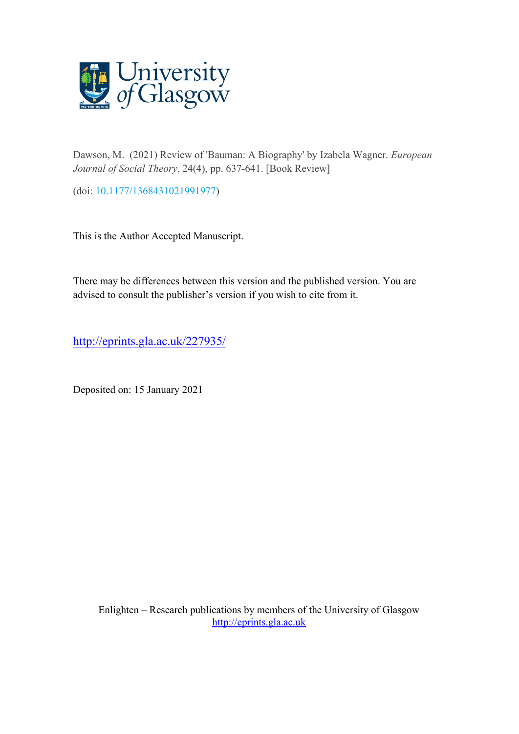

Dawson, M. (2021) Review of 'Bauman: A Biography' by Izabela Wagner. *European Journal of Social Theory*, 24(4), pp. 637-641. [Book Review]

(doi: [10.1177/1368431021991977\)](http://dx.doi.org/10.1177/1368431021991977)

This is the Author Accepted Manuscript.

There may be differences between this version and the published version. You are advised to consult the publisher's version if you wish to cite from it.

<http://eprints.gla.ac.uk/227935/>

Deposited on: 15 January 2021

Enlighten – Research publications by members of the University of Glasgow [http://eprints.gla.ac.uk](http://eprints.gla.ac.uk/)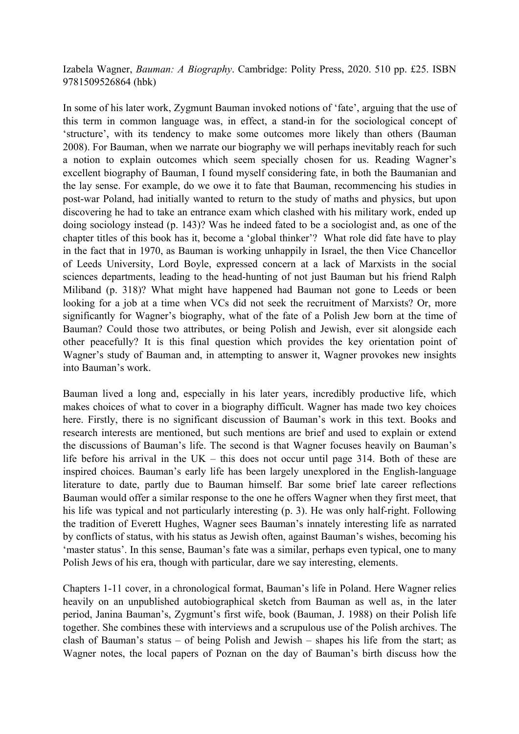Izabela Wagner, *Bauman: A Biography*. Cambridge: Polity Press, 2020. 510 pp. £25. ISBN 9781509526864 (hbk)

In some of his later work, Zygmunt Bauman invoked notions of 'fate', arguing that the use of this term in common language was, in effect, a stand-in for the sociological concept of 'structure', with its tendency to make some outcomes more likely than others (Bauman 2008). For Bauman, when we narrate our biography we will perhaps inevitably reach for such a notion to explain outcomes which seem specially chosen for us. Reading Wagner's excellent biography of Bauman, I found myself considering fate, in both the Baumanian and the lay sense. For example, do we owe it to fate that Bauman, recommencing his studies in post-war Poland, had initially wanted to return to the study of maths and physics, but upon discovering he had to take an entrance exam which clashed with his military work, ended up doing sociology instead (p. 143)? Was he indeed fated to be a sociologist and, as one of the chapter titles of this book has it, become a 'global thinker'? What role did fate have to play in the fact that in 1970, as Bauman is working unhappily in Israel, the then Vice Chancellor of Leeds University, Lord Boyle, expressed concern at a lack of Marxists in the social sciences departments, leading to the head-hunting of not just Bauman but his friend Ralph Miliband (p. 318)? What might have happened had Bauman not gone to Leeds or been looking for a job at a time when VCs did not seek the recruitment of Marxists? Or, more significantly for Wagner's biography, what of the fate of a Polish Jew born at the time of Bauman? Could those two attributes, or being Polish and Jewish, ever sit alongside each other peacefully? It is this final question which provides the key orientation point of Wagner's study of Bauman and, in attempting to answer it, Wagner provokes new insights into Bauman's work.

Bauman lived a long and, especially in his later years, incredibly productive life, which makes choices of what to cover in a biography difficult. Wagner has made two key choices here. Firstly, there is no significant discussion of Bauman's work in this text. Books and research interests are mentioned, but such mentions are brief and used to explain or extend the discussions of Bauman's life. The second is that Wagner focuses heavily on Bauman's life before his arrival in the UK – this does not occur until page 314. Both of these are inspired choices. Bauman's early life has been largely unexplored in the English-language literature to date, partly due to Bauman himself. Bar some brief late career reflections Bauman would offer a similar response to the one he offers Wagner when they first meet, that his life was typical and not particularly interesting (p. 3). He was only half-right. Following the tradition of Everett Hughes, Wagner sees Bauman's innately interesting life as narrated by conflicts of status, with his status as Jewish often, against Bauman's wishes, becoming his 'master status'. In this sense, Bauman's fate was a similar, perhaps even typical, one to many Polish Jews of his era, though with particular, dare we say interesting, elements.

Chapters 1-11 cover, in a chronological format, Bauman's life in Poland. Here Wagner relies heavily on an unpublished autobiographical sketch from Bauman as well as, in the later period, Janina Bauman's, Zygmunt's first wife, book (Bauman, J. 1988) on their Polish life together. She combines these with interviews and a scrupulous use of the Polish archives. The clash of Bauman's status – of being Polish and Jewish – shapes his life from the start; as Wagner notes, the local papers of Poznan on the day of Bauman's birth discuss how the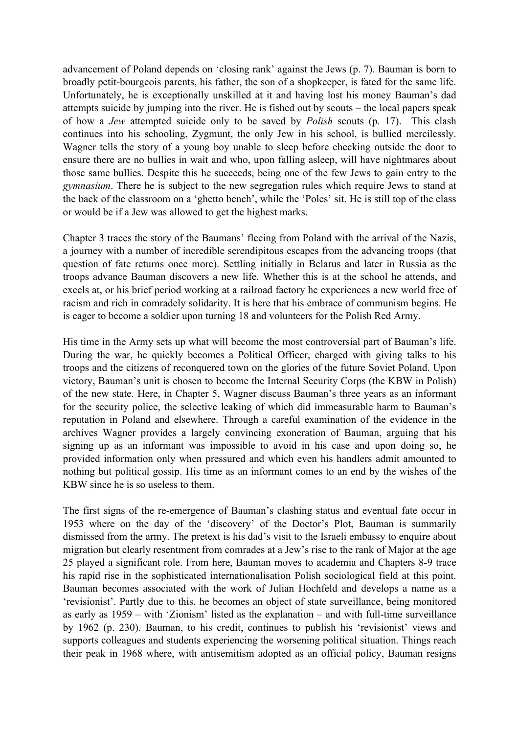advancement of Poland depends on 'closing rank' against the Jews (p. 7). Bauman is born to broadly petit-bourgeois parents, his father, the son of a shopkeeper, is fated for the same life. Unfortunately, he is exceptionally unskilled at it and having lost his money Bauman's dad attempts suicide by jumping into the river. He is fished out by scouts – the local papers speak of how a *Jew* attempted suicide only to be saved by *Polish* scouts (p. 17). This clash continues into his schooling, Zygmunt, the only Jew in his school, is bullied mercilessly. Wagner tells the story of a young boy unable to sleep before checking outside the door to ensure there are no bullies in wait and who, upon falling asleep, will have nightmares about those same bullies. Despite this he succeeds, being one of the few Jews to gain entry to the *gymnasium*. There he is subject to the new segregation rules which require Jews to stand at the back of the classroom on a 'ghetto bench', while the 'Poles' sit. He is still top of the class or would be if a Jew was allowed to get the highest marks.

Chapter 3 traces the story of the Baumans' fleeing from Poland with the arrival of the Nazis, a journey with a number of incredible serendipitous escapes from the advancing troops (that question of fate returns once more). Settling initially in Belarus and later in Russia as the troops advance Bauman discovers a new life. Whether this is at the school he attends, and excels at, or his brief period working at a railroad factory he experiences a new world free of racism and rich in comradely solidarity. It is here that his embrace of communism begins. He is eager to become a soldier upon turning 18 and volunteers for the Polish Red Army.

His time in the Army sets up what will become the most controversial part of Bauman's life. During the war, he quickly becomes a Political Officer, charged with giving talks to his troops and the citizens of reconquered town on the glories of the future Soviet Poland. Upon victory, Bauman's unit is chosen to become the Internal Security Corps (the KBW in Polish) of the new state. Here, in Chapter 5, Wagner discuss Bauman's three years as an informant for the security police, the selective leaking of which did immeasurable harm to Bauman's reputation in Poland and elsewhere. Through a careful examination of the evidence in the archives Wagner provides a largely convincing exoneration of Bauman, arguing that his signing up as an informant was impossible to avoid in his case and upon doing so, he provided information only when pressured and which even his handlers admit amounted to nothing but political gossip. His time as an informant comes to an end by the wishes of the KBW since he is so useless to them.

The first signs of the re-emergence of Bauman's clashing status and eventual fate occur in 1953 where on the day of the 'discovery' of the Doctor's Plot, Bauman is summarily dismissed from the army. The pretext is his dad's visit to the Israeli embassy to enquire about migration but clearly resentment from comrades at a Jew's rise to the rank of Major at the age 25 played a significant role. From here, Bauman moves to academia and Chapters 8-9 trace his rapid rise in the sophisticated internationalisation Polish sociological field at this point. Bauman becomes associated with the work of Julian Hochfeld and develops a name as a 'revisionist'. Partly due to this, he becomes an object of state surveillance, being monitored as early as 1959 – with 'Zionism' listed as the explanation – and with full-time surveillance by 1962 (p. 230). Bauman, to his credit, continues to publish his 'revisionist' views and supports colleagues and students experiencing the worsening political situation. Things reach their peak in 1968 where, with antisemitism adopted as an official policy, Bauman resigns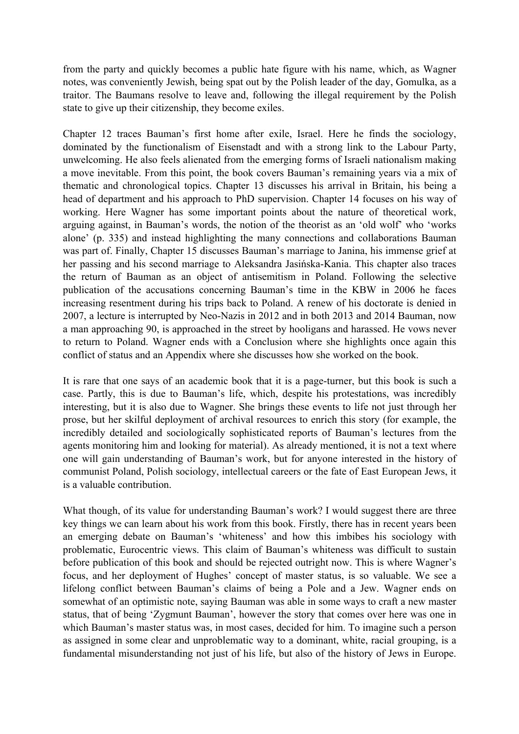from the party and quickly becomes a public hate figure with his name, which, as Wagner notes, was conveniently Jewish, being spat out by the Polish leader of the day, Gomulka, as a traitor. The Baumans resolve to leave and, following the illegal requirement by the Polish state to give up their citizenship, they become exiles.

Chapter 12 traces Bauman's first home after exile, Israel. Here he finds the sociology, dominated by the functionalism of Eisenstadt and with a strong link to the Labour Party, unwelcoming. He also feels alienated from the emerging forms of Israeli nationalism making a move inevitable. From this point, the book covers Bauman's remaining years via a mix of thematic and chronological topics. Chapter 13 discusses his arrival in Britain, his being a head of department and his approach to PhD supervision. Chapter 14 focuses on his way of working. Here Wagner has some important points about the nature of theoretical work, arguing against, in Bauman's words, the notion of the theorist as an 'old wolf' who 'works alone' (p. 335) and instead highlighting the many connections and collaborations Bauman was part of. Finally, Chapter 15 discusses Bauman's marriage to Janina, his immense grief at her passing and his second marriage to Aleksandra Jasińska-Kania. This chapter also traces the return of Bauman as an object of antisemitism in Poland. Following the selective publication of the accusations concerning Bauman's time in the KBW in 2006 he faces increasing resentment during his trips back to Poland. A renew of his doctorate is denied in 2007, a lecture is interrupted by Neo-Nazis in 2012 and in both 2013 and 2014 Bauman, now a man approaching 90, is approached in the street by hooligans and harassed. He vows never to return to Poland. Wagner ends with a Conclusion where she highlights once again this conflict of status and an Appendix where she discusses how she worked on the book.

It is rare that one says of an academic book that it is a page-turner, but this book is such a case. Partly, this is due to Bauman's life, which, despite his protestations, was incredibly interesting, but it is also due to Wagner. She brings these events to life not just through her prose, but her skilful deployment of archival resources to enrich this story (for example, the incredibly detailed and sociologically sophisticated reports of Bauman's lectures from the agents monitoring him and looking for material). As already mentioned, it is not a text where one will gain understanding of Bauman's work, but for anyone interested in the history of communist Poland, Polish sociology, intellectual careers or the fate of East European Jews, it is a valuable contribution.

What though, of its value for understanding Bauman's work? I would suggest there are three key things we can learn about his work from this book. Firstly, there has in recent years been an emerging debate on Bauman's 'whiteness' and how this imbibes his sociology with problematic, Eurocentric views. This claim of Bauman's whiteness was difficult to sustain before publication of this book and should be rejected outright now. This is where Wagner's focus, and her deployment of Hughes' concept of master status, is so valuable. We see a lifelong conflict between Bauman's claims of being a Pole and a Jew. Wagner ends on somewhat of an optimistic note, saying Bauman was able in some ways to craft a new master status, that of being 'Zygmunt Bauman', however the story that comes over here was one in which Bauman's master status was, in most cases, decided for him. To imagine such a person as assigned in some clear and unproblematic way to a dominant, white, racial grouping, is a fundamental misunderstanding not just of his life, but also of the history of Jews in Europe.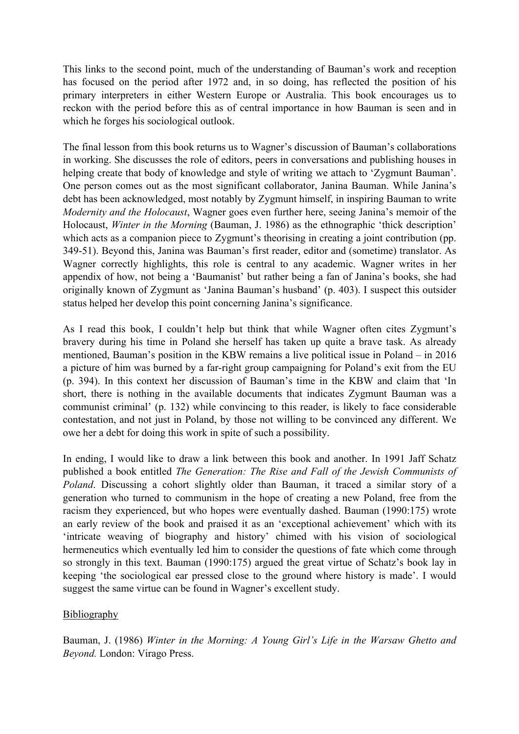This links to the second point, much of the understanding of Bauman's work and reception has focused on the period after 1972 and, in so doing, has reflected the position of his primary interpreters in either Western Europe or Australia. This book encourages us to reckon with the period before this as of central importance in how Bauman is seen and in which he forges his sociological outlook.

The final lesson from this book returns us to Wagner's discussion of Bauman's collaborations in working. She discusses the role of editors, peers in conversations and publishing houses in helping create that body of knowledge and style of writing we attach to 'Zygmunt Bauman'. One person comes out as the most significant collaborator, Janina Bauman. While Janina's debt has been acknowledged, most notably by Zygmunt himself, in inspiring Bauman to write *Modernity and the Holocaust*, Wagner goes even further here, seeing Janina's memoir of the Holocaust, *Winter in the Morning* (Bauman, J. 1986) as the ethnographic 'thick description' which acts as a companion piece to Zygmunt's theorising in creating a joint contribution (pp. 349-51). Beyond this, Janina was Bauman's first reader, editor and (sometime) translator. As Wagner correctly highlights, this role is central to any academic. Wagner writes in her appendix of how, not being a 'Baumanist' but rather being a fan of Janina's books, she had originally known of Zygmunt as 'Janina Bauman's husband' (p. 403). I suspect this outsider status helped her develop this point concerning Janina's significance.

As I read this book, I couldn't help but think that while Wagner often cites Zygmunt's bravery during his time in Poland she herself has taken up quite a brave task. As already mentioned, Bauman's position in the KBW remains a live political issue in Poland – in 2016 a picture of him was burned by a far-right group campaigning for Poland's exit from the EU (p. 394). In this context her discussion of Bauman's time in the KBW and claim that 'In short, there is nothing in the available documents that indicates Zygmunt Bauman was a communist criminal' (p. 132) while convincing to this reader, is likely to face considerable contestation, and not just in Poland, by those not willing to be convinced any different. We owe her a debt for doing this work in spite of such a possibility.

In ending, I would like to draw a link between this book and another. In 1991 Jaff Schatz published a book entitled *The Generation: The Rise and Fall of the Jewish Communists of Poland*. Discussing a cohort slightly older than Bauman, it traced a similar story of a generation who turned to communism in the hope of creating a new Poland, free from the racism they experienced, but who hopes were eventually dashed. Bauman (1990:175) wrote an early review of the book and praised it as an 'exceptional achievement' which with its 'intricate weaving of biography and history' chimed with his vision of sociological hermeneutics which eventually led him to consider the questions of fate which come through so strongly in this text. Bauman (1990:175) argued the great virtue of Schatz's book lay in keeping 'the sociological ear pressed close to the ground where history is made'. I would suggest the same virtue can be found in Wagner's excellent study.

## Bibliography

Bauman, J. (1986) *Winter in the Morning: A Young Girl's Life in the Warsaw Ghetto and Beyond.* London: Virago Press.